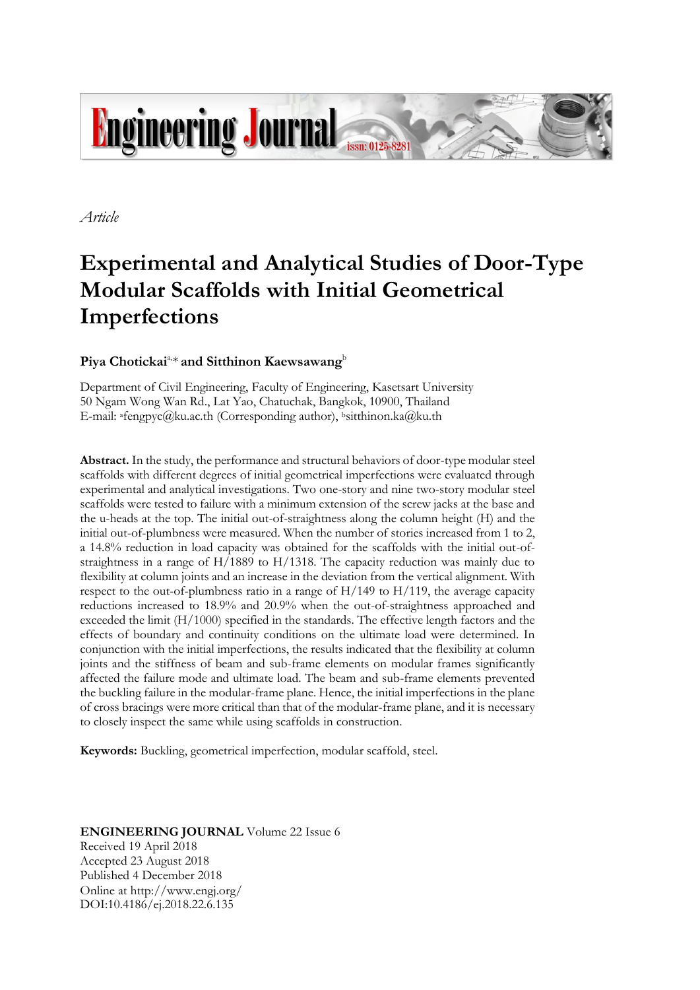

*Article*

# **Experimental and Analytical Studies of Door-Type Modular Scaffolds with Initial Geometrical Imperfections**

## Piya Chotickai<sup>a,\*</sup> and Sitthinon Kaewsawang<sup>b</sup>

Department of Civil Engineering, Faculty of Engineering, Kasetsart University 50 Ngam Wong Wan Rd., Lat Yao, Chatuchak, Bangkok, 10900, Thailand E-mail: afengpyc@ku.ac.th (Corresponding author), bsitthinon.ka@ku.th

**Abstract.** In the study, the performance and structural behaviors of door-type modular steel scaffolds with different degrees of initial geometrical imperfections were evaluated through experimental and analytical investigations. Two one-story and nine two-story modular steel scaffolds were tested to failure with a minimum extension of the screw jacks at the base and the u-heads at the top. The initial out-of-straightness along the column height (H) and the initial out-of-plumbness were measured. When the number of stories increased from 1 to 2, a 14.8% reduction in load capacity was obtained for the scaffolds with the initial out-ofstraightness in a range of H/1889 to H/1318. The capacity reduction was mainly due to flexibility at column joints and an increase in the deviation from the vertical alignment. With respect to the out-of-plumbness ratio in a range of  $H/149$  to  $H/119$ , the average capacity reductions increased to 18.9% and 20.9% when the out-of-straightness approached and exceeded the limit (H/1000) specified in the standards. The effective length factors and the effects of boundary and continuity conditions on the ultimate load were determined. In conjunction with the initial imperfections, the results indicated that the flexibility at column joints and the stiffness of beam and sub-frame elements on modular frames significantly affected the failure mode and ultimate load. The beam and sub-frame elements prevented the buckling failure in the modular-frame plane. Hence, the initial imperfections in the plane of cross bracings were more critical than that of the modular-frame plane, and it is necessary to closely inspect the same while using scaffolds in construction.

**Keywords:** Buckling, geometrical imperfection, modular scaffold, steel.

### **ENGINEERING JOURNAL** Volume 22 Issue 6 Received 19 April 2018 Accepted 23 August 2018 Published 4 December 2018 Online at http://www.engj.org/ DOI:10.4186/ej.2018.22.6.135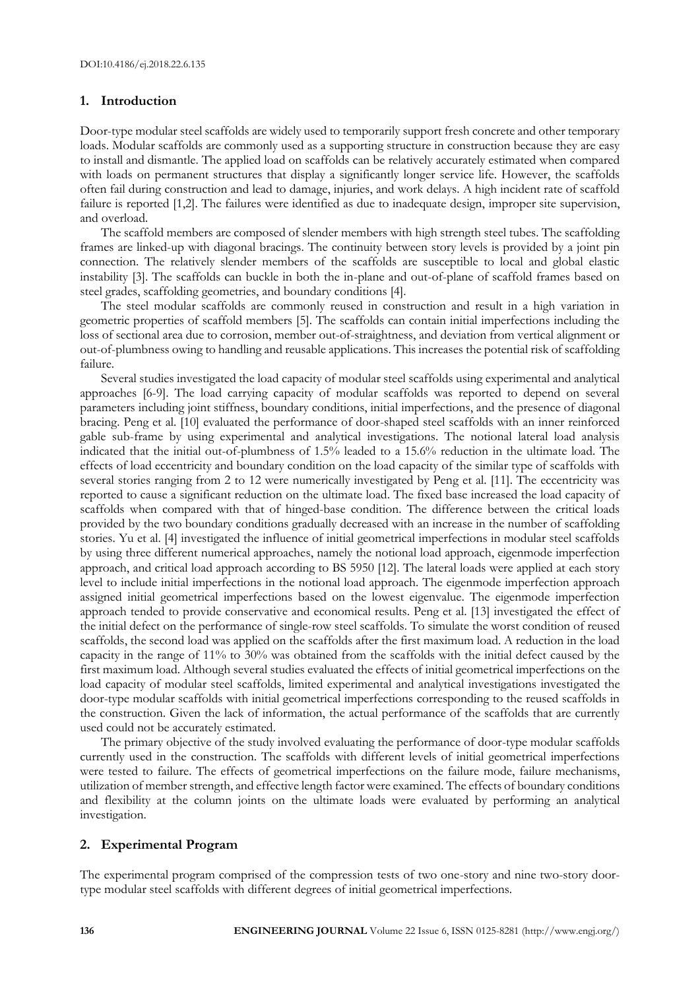#### **1. Introduction**

Door-type modular steel scaffolds are widely used to temporarily support fresh concrete and other temporary loads. Modular scaffolds are commonly used as a supporting structure in construction because they are easy to install and dismantle. The applied load on scaffolds can be relatively accurately estimated when compared with loads on permanent structures that display a significantly longer service life. However, the scaffolds often fail during construction and lead to damage, injuries, and work delays. A high incident rate of scaffold failure is reported [1,2]. The failures were identified as due to inadequate design, improper site supervision, and overload.

The scaffold members are composed of slender members with high strength steel tubes. The scaffolding frames are linked-up with diagonal bracings. The continuity between story levels is provided by a joint pin connection. The relatively slender members of the scaffolds are susceptible to local and global elastic instability [3]. The scaffolds can buckle in both the in-plane and out-of-plane of scaffold frames based on steel grades, scaffolding geometries, and boundary conditions [4].

The steel modular scaffolds are commonly reused in construction and result in a high variation in geometric properties of scaffold members [5]. The scaffolds can contain initial imperfections including the loss of sectional area due to corrosion, member out-of-straightness, and deviation from vertical alignment or out-of-plumbness owing to handling and reusable applications. This increases the potential risk of scaffolding failure.

Several studies investigated the load capacity of modular steel scaffolds using experimental and analytical approaches [6-9]. The load carrying capacity of modular scaffolds was reported to depend on several parameters including joint stiffness, boundary conditions, initial imperfections, and the presence of diagonal bracing. Peng et al. [10] evaluated the performance of door-shaped steel scaffolds with an inner reinforced gable sub-frame by using experimental and analytical investigations. The notional lateral load analysis indicated that the initial out-of-plumbness of 1.5% leaded to a 15.6% reduction in the ultimate load. The effects of load eccentricity and boundary condition on the load capacity of the similar type of scaffolds with several stories ranging from 2 to 12 were numerically investigated by Peng et al. [11]. The eccentricity was reported to cause a significant reduction on the ultimate load. The fixed base increased the load capacity of scaffolds when compared with that of hinged-base condition. The difference between the critical loads provided by the two boundary conditions gradually decreased with an increase in the number of scaffolding stories. Yu et al. [4] investigated the influence of initial geometrical imperfections in modular steel scaffolds by using three different numerical approaches, namely the notional load approach, eigenmode imperfection approach, and critical load approach according to BS 5950 [12]. The lateral loads were applied at each story level to include initial imperfections in the notional load approach. The eigenmode imperfection approach assigned initial geometrical imperfections based on the lowest eigenvalue. The eigenmode imperfection approach tended to provide conservative and economical results. Peng et al. [13] investigated the effect of the initial defect on the performance of single-row steel scaffolds. To simulate the worst condition of reused scaffolds, the second load was applied on the scaffolds after the first maximum load. A reduction in the load capacity in the range of 11% to 30% was obtained from the scaffolds with the initial defect caused by the first maximum load. Although several studies evaluated the effects of initial geometrical imperfections on the load capacity of modular steel scaffolds, limited experimental and analytical investigations investigated the door-type modular scaffolds with initial geometrical imperfections corresponding to the reused scaffolds in the construction. Given the lack of information, the actual performance of the scaffolds that are currently used could not be accurately estimated.

The primary objective of the study involved evaluating the performance of door-type modular scaffolds currently used in the construction. The scaffolds with different levels of initial geometrical imperfections were tested to failure. The effects of geometrical imperfections on the failure mode, failure mechanisms, utilization of member strength, and effective length factor were examined. The effects of boundary conditions and flexibility at the column joints on the ultimate loads were evaluated by performing an analytical investigation.

#### **2. Experimental Program**

The experimental program comprised of the compression tests of two one-story and nine two-story doortype modular steel scaffolds with different degrees of initial geometrical imperfections.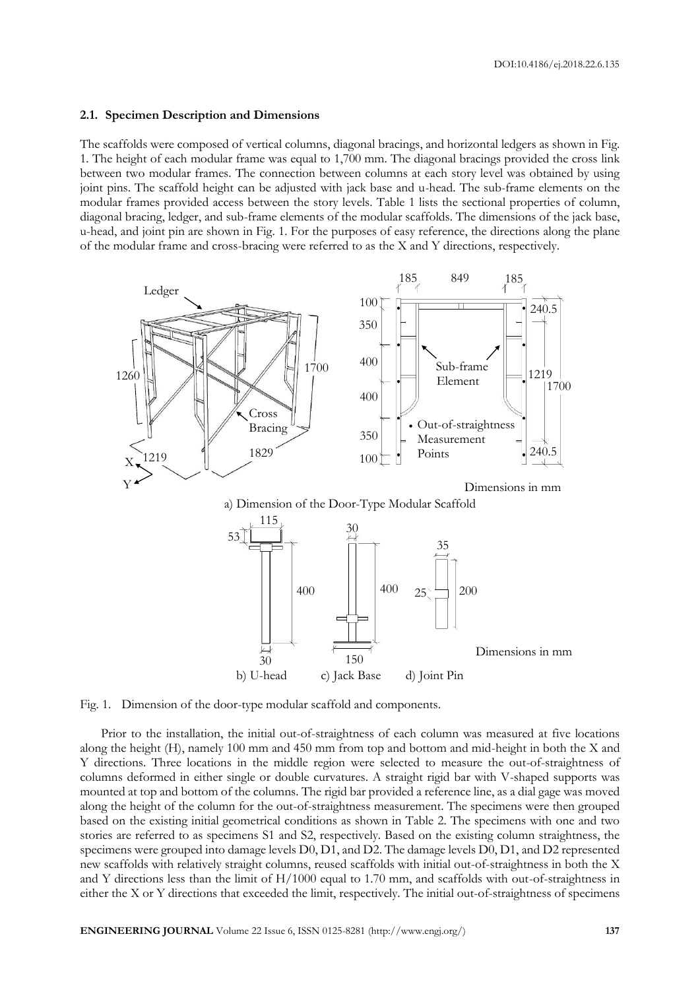#### **2.1. Specimen Description and Dimensions**

The scaffolds were composed of vertical columns, diagonal bracings, and horizontal ledgers as shown in Fig. 1. The height of each modular frame was equal to 1,700 mm. The diagonal bracings provided the cross link between two modular frames. The connection between columns at each story level was obtained by using joint pins. The scaffold height can be adjusted with jack base and u-head. The sub-frame elements on the modular frames provided access between the story levels. Table 1 lists the sectional properties of column, diagonal bracing, ledger, and sub-frame elements of the modular scaffolds. The dimensions of the jack base, u-head, and joint pin are shown in Fig. 1. For the purposes of easy reference, the directions along the plane of the modular frame and cross-bracing were referred to as the X and Y directions, respectively.





Fig. 1. Dimension of the door-type modular scaffold and components.

Prior to the installation, the initial out-of-straightness of each column was measured at five locations along the height (H), namely 100 mm and 450 mm from top and bottom and mid-height in both the X and Y directions. Three locations in the middle region were selected to measure the out-of-straightness of columns deformed in either single or double curvatures. A straight rigid bar with V-shaped supports was mounted at top and bottom of the columns. The rigid bar provided a reference line, as a dial gage was moved along the height of the column for the out-of-straightness measurement. The specimens were then grouped based on the existing initial geometrical conditions as shown in Table 2. The specimens with one and two stories are referred to as specimens S1 and S2, respectively. Based on the existing column straightness, the specimens were grouped into damage levels D0, D1, and D2. The damage levels D0, D1, and D2 represented new scaffolds with relatively straight columns, reused scaffolds with initial out-of-straightness in both the X and Y directions less than the limit of H/1000 equal to 1.70 mm, and scaffolds with out-of-straightness in either the X or Y directions that exceeded the limit, respectively. The initial out-of-straightness of specimens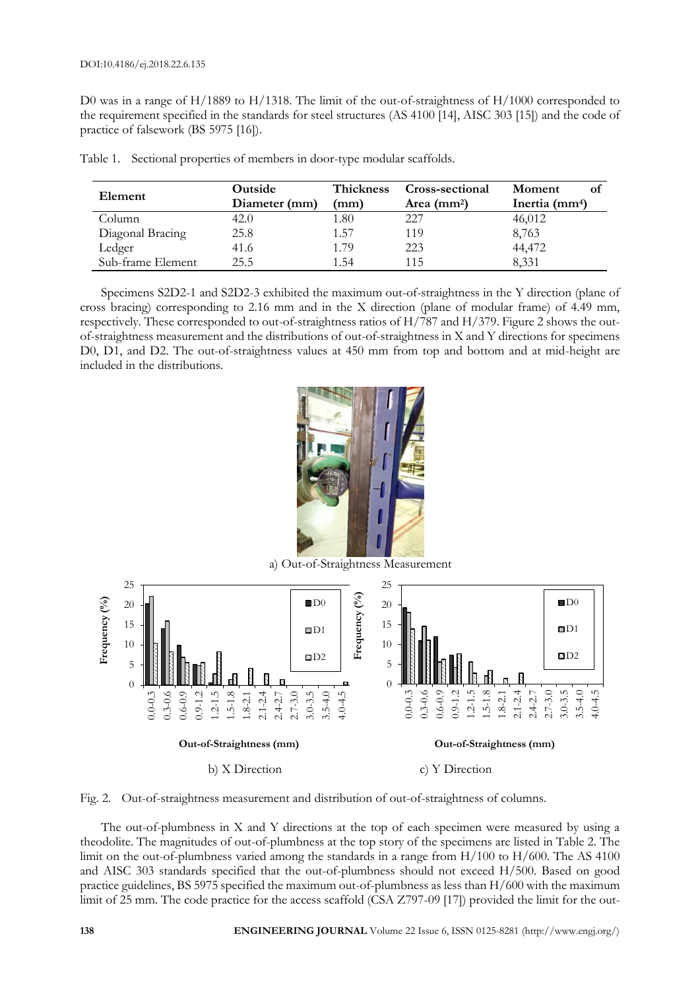D0 was in a range of H/1889 to H/1318. The limit of the out-of-straightness of H/1000 corresponded to the requirement specified in the standards for steel structures (AS 4100 [14], AISC 303 [15]) and the code of practice of falsework (BS 5975 [16]).

| Element           | Outside<br>Diameter (mm) | Thickness<br>(mm) | Cross-sectional<br>Area $(mm2)$ | Moment<br>Ωt<br>Inertia $(mm4)$ |  |  |
|-------------------|--------------------------|-------------------|---------------------------------|---------------------------------|--|--|
| Column            | 42.0                     | 1.80              | 227                             | 46,012                          |  |  |
| Diagonal Bracing  | 25.8                     | 1.57              | 119                             | 8,763                           |  |  |
| Ledger            | 41.6                     | 1.79              | 223                             | 44,472                          |  |  |
| Sub-frame Element | 25.5                     | 154               | 115                             | 8,331                           |  |  |

Table 1. Sectional properties of members in door-type modular scaffolds.

Specimens S2D2-1 and S2D2-3 exhibited the maximum out-of-straightness in the Y direction (plane of cross bracing) corresponding to 2.16 mm and in the X direction (plane of modular frame) of 4.49 mm, respectively. These corresponded to out-of-straightness ratios of H/787 and H/379. Figure 2 shows the outof-straightness measurement and the distributions of out-of-straightness in X and Y directions for specimens D0, D1, and D2. The out-of-straightness values at 450 mm from top and bottom and at mid-height are included in the distributions.







The out-of-plumbness in X and Y directions at the top of each specimen were measured by using a theodolite. The magnitudes of out-of-plumbness at the top story of the specimens are listed in Table 2. The limit on the out-of-plumbness varied among the standards in a range from H/100 to H/600. The AS 4100 and AISC 303 standards specified that the out-of-plumbness should not exceed H/500. Based on good practice guidelines, BS 5975 specified the maximum out-of-plumbness as less than H/600 with the maximum limit of 25 mm. The code practice for the access scaffold (CSA Z797-09 [17]) provided the limit for the out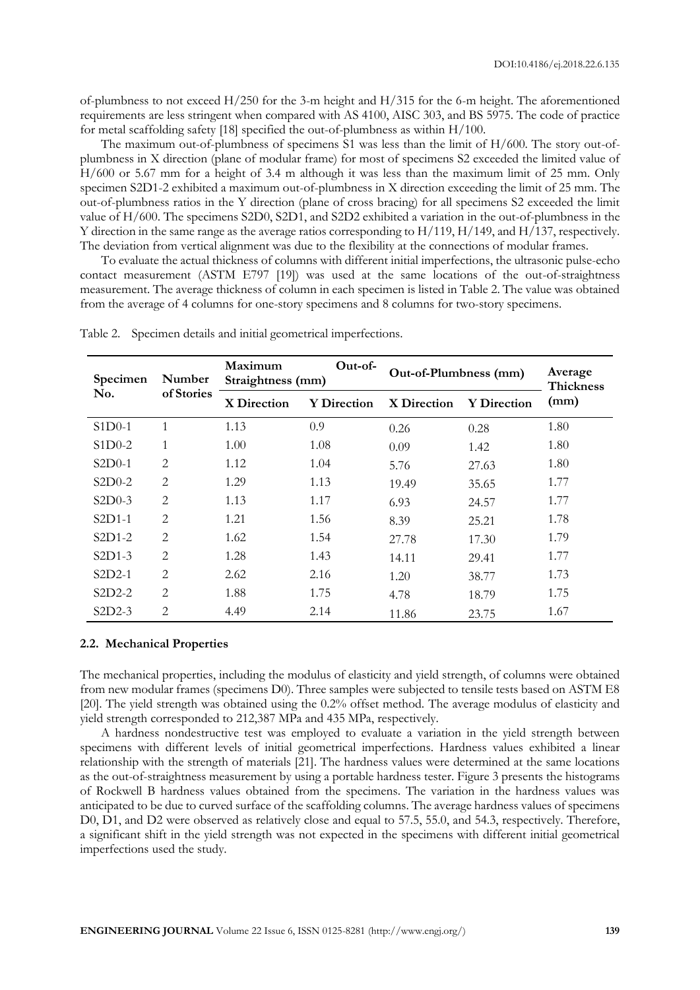of-plumbness to not exceed H/250 for the 3-m height and H/315 for the 6-m height. The aforementioned requirements are less stringent when compared with AS 4100, AISC 303, and BS 5975. The code of practice for metal scaffolding safety [18] specified the out-of-plumbness as within H/100.

The maximum out-of-plumbness of specimens S1 was less than the limit of H/600. The story out-ofplumbness in X direction (plane of modular frame) for most of specimens S2 exceeded the limited value of H/600 or 5.67 mm for a height of 3.4 m although it was less than the maximum limit of 25 mm. Only specimen S2D1-2 exhibited a maximum out-of-plumbness in X direction exceeding the limit of 25 mm. The out-of-plumbness ratios in the Y direction (plane of cross bracing) for all specimens S2 exceeded the limit value of H/600. The specimens S2D0, S2D1, and S2D2 exhibited a variation in the out-of-plumbness in the Y direction in the same range as the average ratios corresponding to H/119, H/149, and H/137, respectively. The deviation from vertical alignment was due to the flexibility at the connections of modular frames.

To evaluate the actual thickness of columns with different initial imperfections, the ultrasonic pulse-echo contact measurement (ASTM E797 [19]) was used at the same locations of the out-of-straightness measurement. The average thickness of column in each specimen is listed in Table 2. The value was obtained from the average of 4 columns for one-story specimens and 8 columns for two-story specimens.

| Specimen<br>No. | Number<br>of Stories        | Maximum<br>Straightness (mm) | $Out-of-$          | Out-of-Plumbness (mm) | Average            |                          |
|-----------------|-----------------------------|------------------------------|--------------------|-----------------------|--------------------|--------------------------|
|                 |                             | X Direction                  | <b>Y</b> Direction | X Direction           | <b>Y</b> Direction | <b>Thickness</b><br>(mm) |
| $S1D0-1$        | $\mathbf{1}$                | 1.13                         | 0.9                | 0.26                  | 0.28               | 1.80                     |
| $S1D0-2$        | 1                           | 1.00                         | 1.08               | 0.09                  | 1.42               | 1.80                     |
| $S2D0-1$        | $\overline{2}$              | 1.12                         | 1.04               | 5.76                  | 27.63              | 1.80                     |
| $S2D0-2$        | $\overline{2}$              | 1.29                         | 1.13               | 19.49                 | 35.65              | 1.77                     |
| $S2D0-3$        | $\overline{2}$              | 1.13                         | 1.17               | 6.93                  | 24.57              | 1.77                     |
| $S2D1-1$        | $\overline{2}$              | 1.21                         | 1.56               | 8.39                  | 25.21              | 1.78                     |
| $S2D1-2$        | $\overline{2}$              | 1.62                         | 1.54               | 27.78                 | 17.30              | 1.79                     |
| $S2D1-3$        | $\overline{2}$              | 1.28                         | 1.43               | 14.11                 | 29.41              | 1.77                     |
| $S2D2-1$        | $\overline{2}$              | 2.62                         | 2.16               | 1.20                  | 38.77              | 1.73                     |
| $S2D2-2$        | $\overline{2}$              | 1.88                         | 1.75               | 4.78                  | 18.79              | 1.75                     |
| $S2D2-3$        | $\mathcal{D}_{\mathcal{L}}$ | 4.49                         | 2.14               | 11.86                 | 23.75              | 1.67                     |

Table 2. Specimen details and initial geometrical imperfections.

#### **2.2. Mechanical Properties**

The mechanical properties, including the modulus of elasticity and yield strength, of columns were obtained from new modular frames (specimens D0). Three samples were subjected to tensile tests based on ASTM E8 [20]. The yield strength was obtained using the 0.2% offset method. The average modulus of elasticity and yield strength corresponded to 212,387 MPa and 435 MPa, respectively.

A hardness nondestructive test was employed to evaluate a variation in the yield strength between specimens with different levels of initial geometrical imperfections. Hardness values exhibited a linear relationship with the strength of materials [21]. The hardness values were determined at the same locations as the out-of-straightness measurement by using a portable hardness tester. Figure 3 presents the histograms of Rockwell B hardness values obtained from the specimens. The variation in the hardness values was anticipated to be due to curved surface of the scaffolding columns. The average hardness values of specimens D0, D1, and D2 were observed as relatively close and equal to 57.5, 55.0, and 54.3, respectively. Therefore, a significant shift in the yield strength was not expected in the specimens with different initial geometrical imperfections used the study.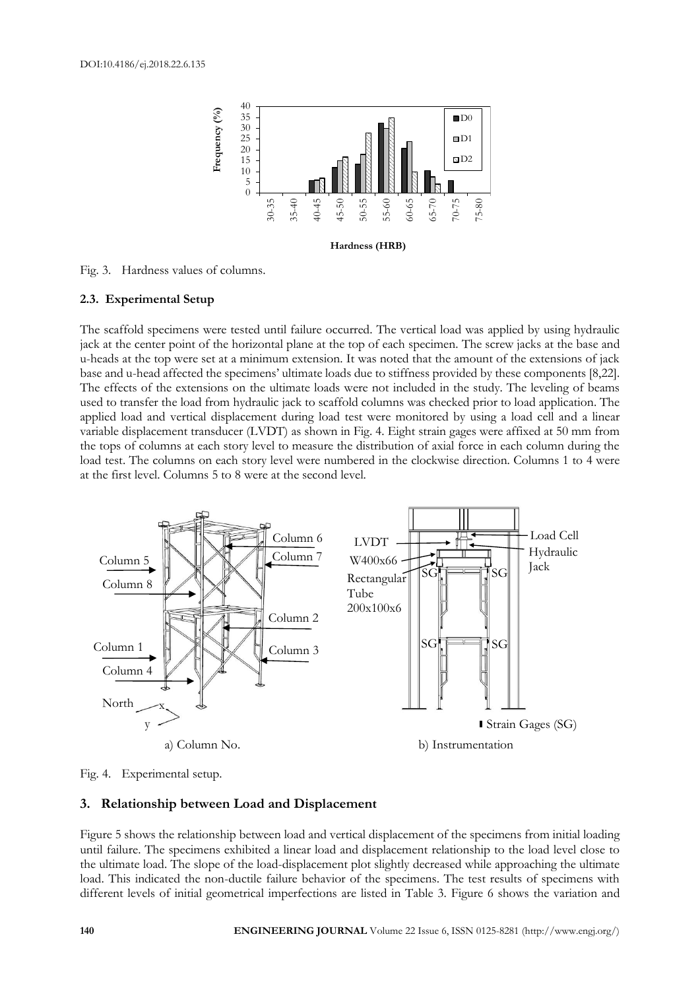

Fig. 3. Hardness values of columns.

#### **2.3. Experimental Setup**

The scaffold specimens were tested until failure occurred. The vertical load was applied by using hydraulic jack at the center point of the horizontal plane at the top of each specimen. The screw jacks at the base and u-heads at the top were set at a minimum extension. It was noted that the amount of the extensions of jack base and u-head affected the specimens' ultimate loads due to stiffness provided by these components [8,22]. The effects of the extensions on the ultimate loads were not included in the study. The leveling of beams used to transfer the load from hydraulic jack to scaffold columns was checked prior to load application. The applied load and vertical displacement during load test were monitored by using a load cell and a linear variable displacement transducer (LVDT) as shown in Fig. 4. Eight strain gages were affixed at 50 mm from the tops of columns at each story level to measure the distribution of axial force in each column during the load test. The columns on each story level were numbered in the clockwise direction. Columns 1 to 4 were at the first level. Columns 5 to 8 were at the second level.



Fig. 4. Experimental setup.

#### **3. Relationship between Load and Displacement**

Figure 5 shows the relationship between load and vertical displacement of the specimens from initial loading until failure. The specimens exhibited a linear load and displacement relationship to the load level close to the ultimate load. The slope of the load-displacement plot slightly decreased while approaching the ultimate load. This indicated the non-ductile failure behavior of the specimens. The test results of specimens with different levels of initial geometrical imperfections are listed in Table 3. Figure 6 shows the variation and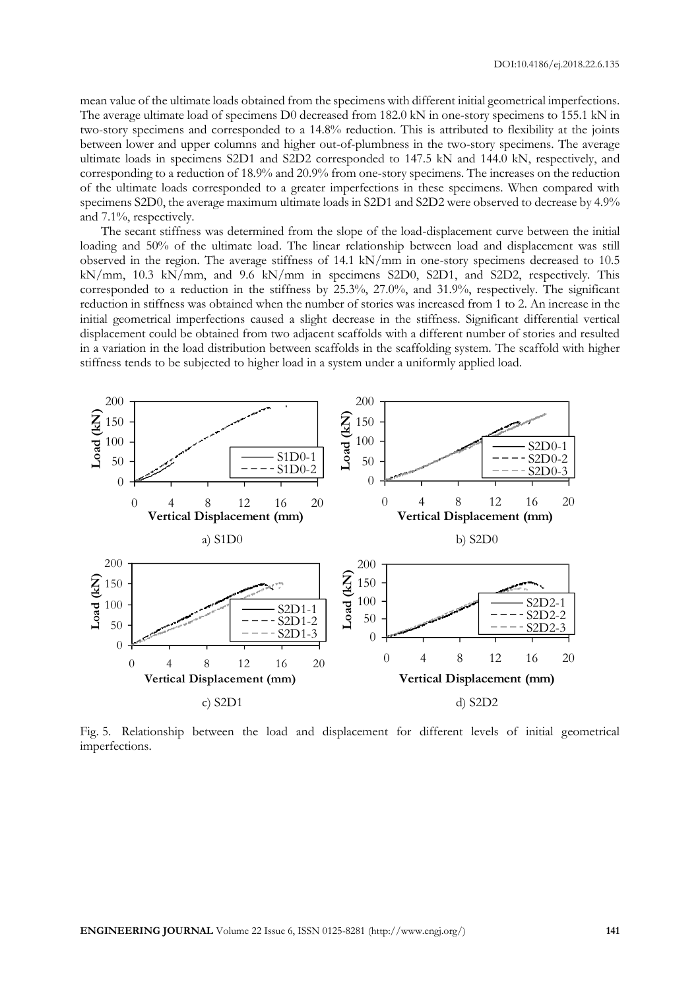mean value of the ultimate loads obtained from the specimens with different initial geometrical imperfections. The average ultimate load of specimens D0 decreased from 182.0 kN in one-story specimens to 155.1 kN in two-story specimens and corresponded to a 14.8% reduction. This is attributed to flexibility at the joints between lower and upper columns and higher out-of-plumbness in the two-story specimens. The average ultimate loads in specimens S2D1 and S2D2 corresponded to 147.5 kN and 144.0 kN, respectively, and corresponding to a reduction of 18.9% and 20.9% from one-story specimens. The increases on the reduction of the ultimate loads corresponded to a greater imperfections in these specimens. When compared with specimens S2D0, the average maximum ultimate loads in S2D1 and S2D2 were observed to decrease by 4.9% and 7.1%, respectively.

The secant stiffness was determined from the slope of the load-displacement curve between the initial loading and 50% of the ultimate load. The linear relationship between load and displacement was still observed in the region. The average stiffness of 14.1 kN/mm in one-story specimens decreased to 10.5 kN/mm, 10.3 kN/mm, and 9.6 kN/mm in specimens S2D0, S2D1, and S2D2, respectively. This corresponded to a reduction in the stiffness by 25.3%, 27.0%, and 31.9%, respectively. The significant reduction in stiffness was obtained when the number of stories was increased from 1 to 2. An increase in the initial geometrical imperfections caused a slight decrease in the stiffness. Significant differential vertical displacement could be obtained from two adjacent scaffolds with a different number of stories and resulted in a variation in the load distribution between scaffolds in the scaffolding system. The scaffold with higher stiffness tends to be subjected to higher load in a system under a uniformly applied load.



Fig. 5. Relationship between the load and displacement for different levels of initial geometrical imperfections.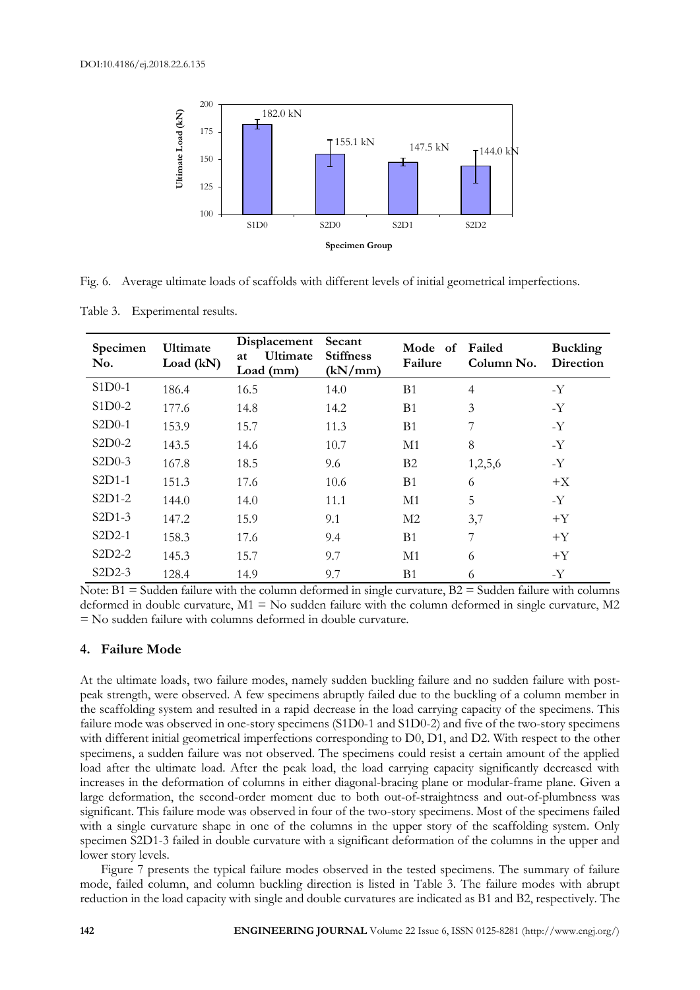

Fig. 6. Average ultimate loads of scaffolds with different levels of initial geometrical imperfections.

Table 3. Experimental results.

| Specimen<br>No. | Ultimate<br>Load (kN) | Displacement<br>Ultimate<br>at<br>Load (mm) | Secant<br><b>Stiffness</b><br>(kN/mm) | Mode of<br>Failure | Failed<br>Column No. | <b>Buckling</b><br>Direction |
|-----------------|-----------------------|---------------------------------------------|---------------------------------------|--------------------|----------------------|------------------------------|
| $S1D0-1$        | 186.4                 | 16.5                                        | 14.0                                  | B <sub>1</sub>     | $\overline{4}$       | $-Y$                         |
| $S1D0-2$        | 177.6                 | 14.8                                        | 14.2                                  | <b>B</b> 1         | 3                    | $-Y$                         |
| $S2D0-1$        | 153.9                 | 15.7                                        | 11.3                                  | <b>B</b> 1         | 7                    | $-Y$                         |
| $S2D0-2$        | 143.5                 | 14.6                                        | 10.7                                  | M1                 | 8                    | $-Y$                         |
| $S2D0-3$        | 167.8                 | 18.5                                        | 9.6                                   | B2                 | 1,2,5,6              | -Y                           |
| $S2D1-1$        | 151.3                 | 17.6                                        | 10.6                                  | <b>B</b> 1         | 6                    | $+X$                         |
| $S2D1-2$        | 144.0                 | 14.0                                        | 11.1                                  | M1                 | 5                    | $-Y$                         |
| $S2D1-3$        | 147.2                 | 15.9                                        | 9.1                                   | M <sub>2</sub>     | 3,7                  | $+Y$                         |
| $S2D2-1$        | 158.3                 | 17.6                                        | 9.4                                   | B <sub>1</sub>     | 7                    | $+Y$                         |
| $S2D2-2$        | 145.3                 | 15.7                                        | 9.7                                   | M1                 | 6                    | $+Y$                         |
| $S2D2-3$        | 128.4                 | 14.9                                        | 9.7                                   | B <sub>1</sub>     | 6                    | $-Y$                         |

Note:  $B1 =$  Sudden failure with the column deformed in single curvature,  $B2 =$  Sudden failure with columns deformed in double curvature,  $M1 = No$  sudden failure with the column deformed in single curvature,  $M2$ = No sudden failure with columns deformed in double curvature.

## **4. Failure Mode**

At the ultimate loads, two failure modes, namely sudden buckling failure and no sudden failure with postpeak strength, were observed. A few specimens abruptly failed due to the buckling of a column member in the scaffolding system and resulted in a rapid decrease in the load carrying capacity of the specimens. This failure mode was observed in one-story specimens (S1D0-1 and S1D0-2) and five of the two-story specimens with different initial geometrical imperfections corresponding to D0, D1, and D2. With respect to the other specimens, a sudden failure was not observed. The specimens could resist a certain amount of the applied load after the ultimate load. After the peak load, the load carrying capacity significantly decreased with increases in the deformation of columns in either diagonal-bracing plane or modular-frame plane. Given a large deformation, the second-order moment due to both out-of-straightness and out-of-plumbness was significant. This failure mode was observed in four of the two-story specimens. Most of the specimens failed with a single curvature shape in one of the columns in the upper story of the scaffolding system. Only specimen S2D1-3 failed in double curvature with a significant deformation of the columns in the upper and lower story levels.

Figure 7 presents the typical failure modes observed in the tested specimens. The summary of failure mode, failed column, and column buckling direction is listed in Table 3. The failure modes with abrupt reduction in the load capacity with single and double curvatures are indicated as B1 and B2, respectively. The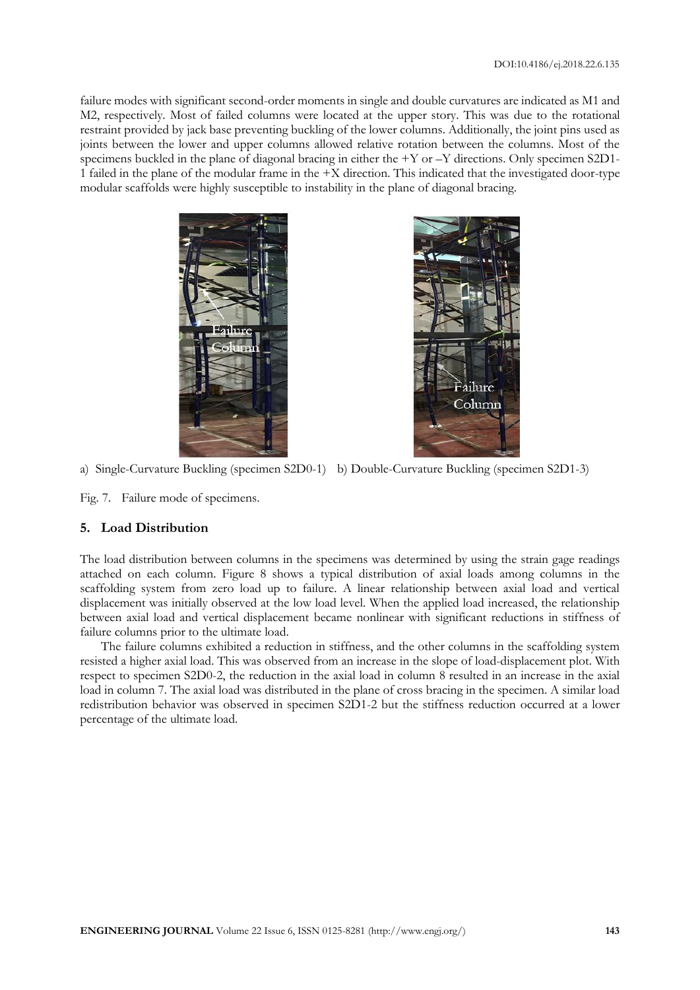failure modes with significant second-order moments in single and double curvatures are indicated as M1 and M2, respectively. Most of failed columns were located at the upper story. This was due to the rotational restraint provided by jack base preventing buckling of the lower columns. Additionally, the joint pins used as joints between the lower and upper columns allowed relative rotation between the columns. Most of the specimens buckled in the plane of diagonal bracing in either the +Y or -Y directions. Only specimen S2D1-1 failed in the plane of the modular frame in the +X direction. This indicated that the investigated door-type modular scaffolds were highly susceptible to instability in the plane of diagonal bracing.



a) Single-Curvature Buckling (specimen S2D0-1) b) Double-Curvature Buckling (specimen S2D1-3)

Fig. 7. Failure mode of specimens.

#### **5. Load Distribution**

The load distribution between columns in the specimens was determined by using the strain gage readings attached on each column. Figure 8 shows a typical distribution of axial loads among columns in the scaffolding system from zero load up to failure. A linear relationship between axial load and vertical displacement was initially observed at the low load level. When the applied load increased, the relationship between axial load and vertical displacement became nonlinear with significant reductions in stiffness of failure columns prior to the ultimate load.

The failure columns exhibited a reduction in stiffness, and the other columns in the scaffolding system resisted a higher axial load. This was observed from an increase in the slope of load-displacement plot. With respect to specimen S2D0-2, the reduction in the axial load in column 8 resulted in an increase in the axial load in column 7. The axial load was distributed in the plane of cross bracing in the specimen. A similar load redistribution behavior was observed in specimen S2D1-2 but the stiffness reduction occurred at a lower percentage of the ultimate load.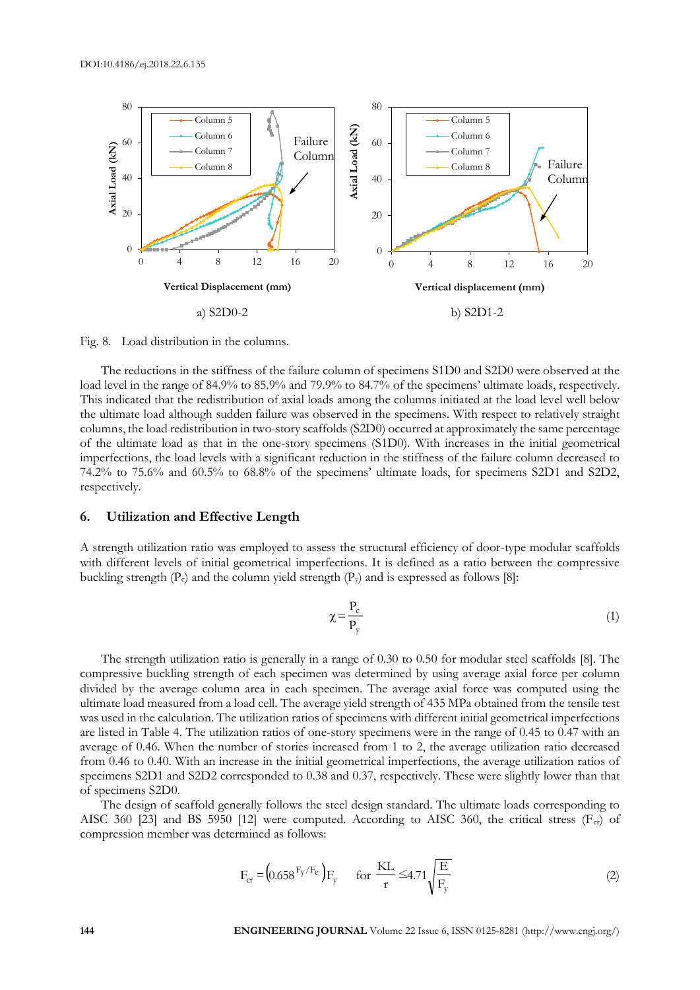

Fig. 8. Load distribution in the columns.

The reductions in the stiffness of the failure column of specimens S1D0 and S2D0 were observed at the load level in the range of 84.9% to 85.9% and 79.9% to 84.7% of the specimens' ultimate loads, respectively. This indicated that the redistribution of axial loads among the columns initiated at the load level well below the ultimate load although sudden failure was observed in the specimens. With respect to relatively straight columns, the load redistribution in two-story scaffolds (S2D0) occurred at approximately the same percentage of the ultimate load as that in the one-story specimens (S1D0). With increases in the initial geometrical imperfections, the load levels with a significant reduction in the stiffness of the failure column decreased to 74.2% to 75.6% and 60.5% to 68.8% of the specimens' ultimate loads, for specimens S2D1 and S2D2, respectively.

#### **6. Utilization and Effective Length**

A strength utilization ratio was employed to assess the structural efficiency of door-type modular scaffolds with different levels of initial geometrical imperfections. It is defined as a ratio between the compressive buckling strength  $(P_c)$  and the column yield strength  $(P_v)$  and is expressed as follows [8]:

$$
\chi = \frac{P_c}{P_y} \tag{1}
$$

The strength utilization ratio is generally in a range of 0.30 to 0.50 for modular steel scaffolds [8]. The compressive buckling strength of each specimen was determined by using average axial force per column divided by the average column area in each specimen. The average axial force was computed using the ultimate load measured from a load cell. The average yield strength of 435 MPa obtained from the tensile test was used in the calculation. The utilization ratios of specimens with different initial geometrical imperfections are listed in Table 4. The utilization ratios of one-story specimens were in the range of 0.45 to 0.47 with an average of 0.46. When the number of stories increased from 1 to 2, the average utilization ratio decreased from 0.46 to 0.40. With an increase in the initial geometrical imperfections, the average utilization ratios of specimens S2D1 and S2D2 corresponded to 0.38 and 0.37, respectively. These were slightly lower than that of specimens S2D0.

The design of scaffold generally follows the steel design standard. The ultimate loads corresponding to AISC 360 [23] and BS 5950 [12] were computed. According to AISC 360, the critical stress  $(F_{cr})$  of compression member was determined as follows:

$$
F_{cr} = (0.658 \, \frac{F_y}{F_e}) F_y \qquad \text{for } \frac{KL}{r} \le 4.71 \sqrt{\frac{E}{F_y}}
$$
 (2)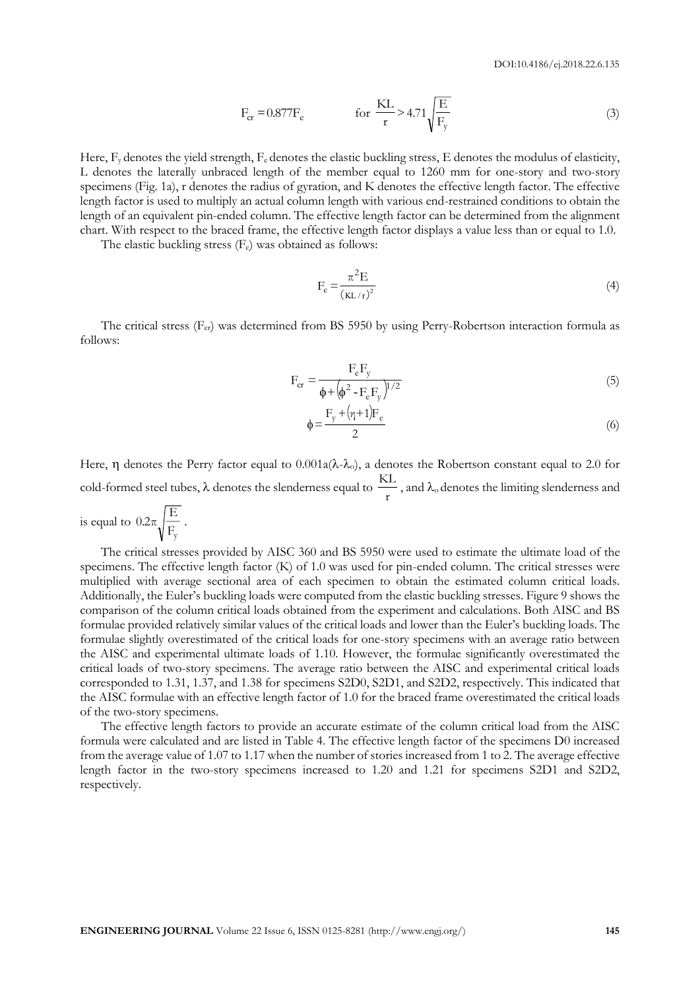$$
F_{cr} = 0.877 F_e \qquad \qquad \text{for } \frac{KL}{r} > 4.71 \sqrt{\frac{E}{F_y}}
$$
 (3)

Here,  $F_y$  denotes the yield strength,  $F_e$  denotes the elastic buckling stress, E denotes the modulus of elasticity, L denotes the laterally unbraced length of the member equal to 1260 mm for one-story and two-story specimens (Fig. 1a), r denotes the radius of gyration, and K denotes the effective length factor. The effective length factor is used to multiply an actual column length with various end-restrained conditions to obtain the length of an equivalent pin-ended column. The effective length factor can be determined from the alignment chart. With respect to the braced frame, the effective length factor displays a value less than or equal to 1.0.

The elastic buckling stress  $(F_e)$  was obtained as follows:

$$
F_e = \frac{\pi^2 E}{\left(\frac{KL}{r}\right)^2} \tag{4}
$$

The critical stress ( $F_{cr}$ ) was determined from BS 5950 by using Perry-Robertson interaction formula as follows:

$$
F_{cr} = \frac{F_e F_y}{\phi + (\phi^2 - F_e F_y)^{1/2}}
$$
\n
$$
\tag{5}
$$

$$
\phi = \frac{F_y + (\eta + 1)F_e}{2} \tag{6}
$$

Here,  $\eta$  denotes the Perry factor equal to 0.001a( $\lambda$ - $\lambda$ <sub>o</sub>), a denotes the Robertson constant equal to 2.0 for cold-formed steel tubes,  $\lambda$  denotes the slenderness equal to  $\frac{12}{10}$  $\frac{\text{KL}}{\text{ML}}$  , and  $\lambda_0$  denotes the limiting slenderness and

is equal to Fy  $0.2\pi \sqrt{\frac{E}{E}}$ .

The critical stresses provided by AISC 360 and BS 5950 were used to estimate the ultimate load of the specimens. The effective length factor (K) of 1.0 was used for pin-ended column. The critical stresses were multiplied with average sectional area of each specimen to obtain the estimated column critical loads. Additionally, the Euler's buckling loads were computed from the elastic buckling stresses. Figure 9 shows the comparison of the column critical loads obtained from the experiment and calculations. Both AISC and BS formulae provided relatively similar values of the critical loads and lower than the Euler's buckling loads. The formulae slightly overestimated of the critical loads for one-story specimens with an average ratio between the AISC and experimental ultimate loads of 1.10. However, the formulae significantly overestimated the critical loads of two-story specimens. The average ratio between the AISC and experimental critical loads corresponded to 1.31, 1.37, and 1.38 for specimens S2D0, S2D1, and S2D2, respectively. This indicated that the AISC formulae with an effective length factor of 1.0 for the braced frame overestimated the critical loads of the two-story specimens.

The effective length factors to provide an accurate estimate of the column critical load from the AISC formula were calculated and are listed in Table 4. The effective length factor of the specimens D0 increased from the average value of 1.07 to 1.17 when the number of stories increased from 1 to 2. The average effective length factor in the two-story specimens increased to 1.20 and 1.21 for specimens S2D1 and S2D2, respectively.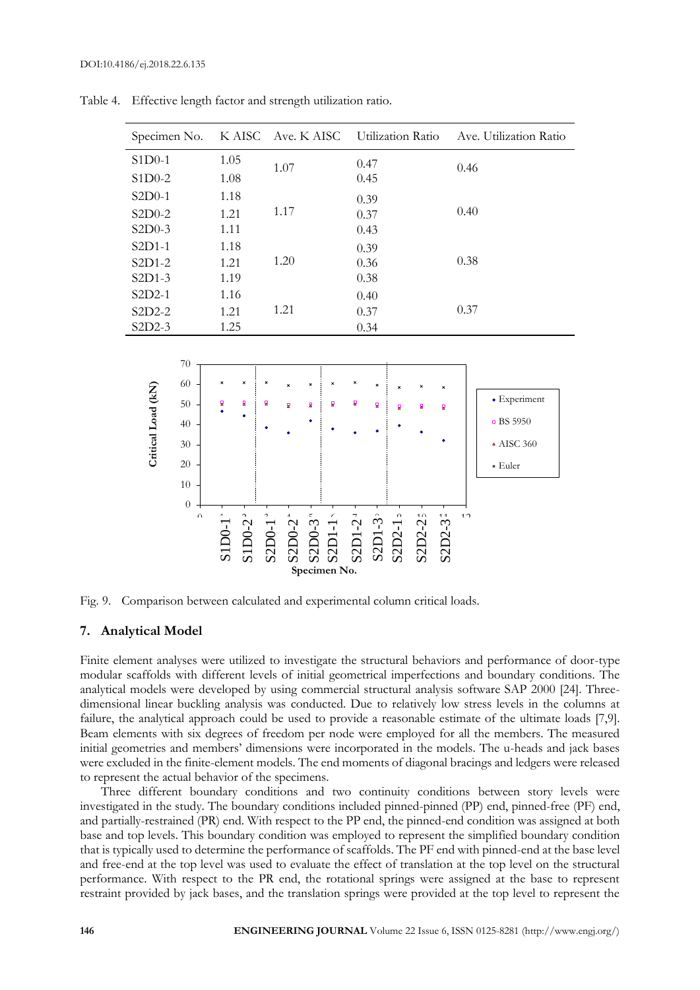| Specimen No.                 |                                                                            |                                  | K AISC                 |                                  | Ave. K AISC |                                |                        |                      |          |        | Utilization Ratio         |                              |                | Ave. Utilization Ratio                                             |
|------------------------------|----------------------------------------------------------------------------|----------------------------------|------------------------|----------------------------------|-------------|--------------------------------|------------------------|----------------------|----------|--------|---------------------------|------------------------------|----------------|--------------------------------------------------------------------|
| $S1D0-1$<br>$S1D0-2$         |                                                                            | 1.05<br>1.08                     |                        |                                  | $1.07\,$    |                                |                        | 0.47<br>0.45         |          |        |                           |                              | 0.46           |                                                                    |
| S2D0-1<br>S2D0-2<br>$S2D0-3$ |                                                                            | 1.18<br>1.21<br>1.11             |                        |                                  | $1.17\,$    |                                |                        | 0.39<br>0.37<br>0.43 |          |        |                           |                              | 0.40           |                                                                    |
| S2D1-1<br>S2D1-2<br>$S2D1-3$ |                                                                            | 1.18<br>1.21<br>1.19             |                        |                                  | $1.20\,$    |                                |                        | 0.39<br>0.36<br>0.38 |          |        |                           |                              | 0.38           |                                                                    |
| S2D2-1<br>S2D2-2<br>S2D2-3   |                                                                            | 1.16<br>1.21<br>1.25             |                        |                                  | 1.21        |                                |                        | 0.40<br>0.37         | 0.34     |        |                           |                              | 0.37           |                                                                    |
| Critical Load (kN)           | 70<br>$60\,$<br>$50\,$<br>40<br>$30\,$<br>$20\,$<br>10<br>$\boldsymbol{0}$ | ×<br>g                           | ×<br>2                 | ×<br>Σ                           | g           | $\boldsymbol{\mathsf{x}}$<br>모 | ×<br>R                 | ×<br>8               | ×<br>g   | g      | R                         | ×<br>$\overline{\mathbf{z}}$ |                | · Experiment<br>■ BS 5950<br>$\triangle$ AISC 360<br>$\star$ Euler |
|                              | $\alpha$                                                                   | S <sub>1</sub> D <sub>0</sub> -1 | $S1DD0-2$ <sup>2</sup> | S <sub>2</sub> D <sub>0</sub> -1 | S2D0-2      | S2D0-3                         | S2D1-1<br>Specimen No. | $S2D1-21$            | $SLDI-3$ | S2D2-1 | $\overline{10}$<br>S2D2-2 | $4\bar{4}$<br>S2D2-3         | 1 <sub>2</sub> |                                                                    |

Table 4. Effective length factor and strength utilization ratio.

Fig. 9. Comparison between calculated and experimental column critical loads.

#### **7. Analytical Model**

Finite element analyses were utilized to investigate the structural behaviors and performance of door-type modular scaffolds with different levels of initial geometrical imperfections and boundary conditions. The analytical models were developed by using commercial structural analysis software SAP 2000 [24]. Threedimensional linear buckling analysis was conducted. Due to relatively low stress levels in the columns at failure, the analytical approach could be used to provide a reasonable estimate of the ultimate loads [7,9]. Beam elements with six degrees of freedom per node were employed for all the members. The measured initial geometries and members' dimensions were incorporated in the models. The u-heads and jack bases were excluded in the finite-element models. The end moments of diagonal bracings and ledgers were released to represent the actual behavior of the specimens.

Three different boundary conditions and two continuity conditions between story levels were investigated in the study. The boundary conditions included pinned-pinned (PP) end, pinned-free (PF) end, and partially-restrained (PR) end. With respect to the PP end, the pinned-end condition was assigned at both base and top levels. This boundary condition was employed to represent the simplified boundary condition that is typically used to determine the performance of scaffolds. The PF end with pinned-end at the base level and free-end at the top level was used to evaluate the effect of translation at the top level on the structural performance. With respect to the PR end, the rotational springs were assigned at the base to represent restraint provided by jack bases, and the translation springs were provided at the top level to represent the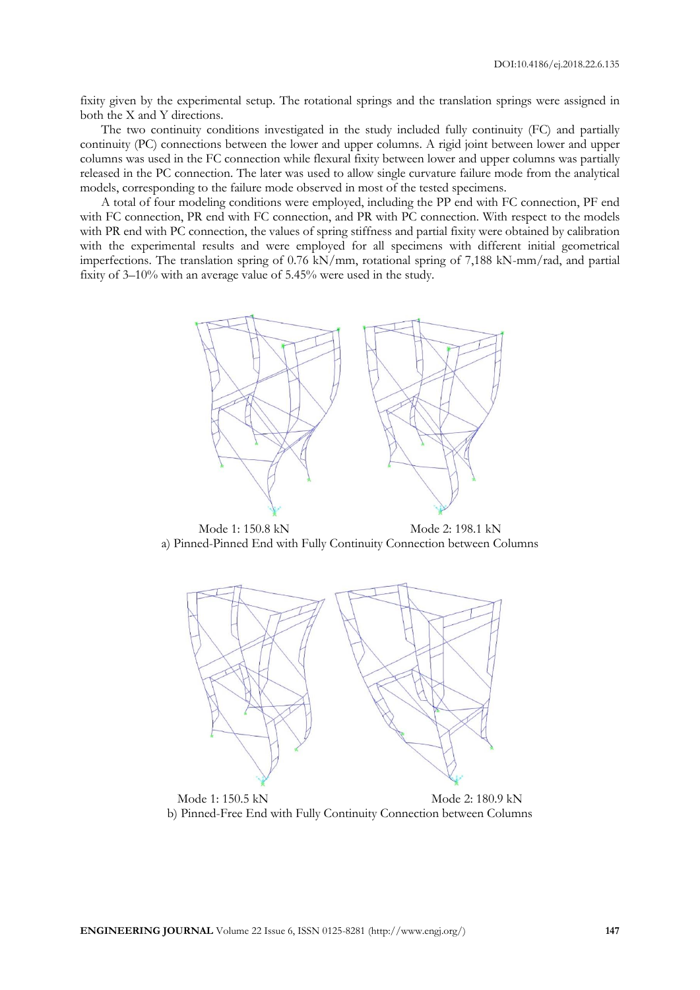fixity given by the experimental setup. The rotational springs and the translation springs were assigned in both the X and Y directions.

The two continuity conditions investigated in the study included fully continuity (FC) and partially continuity (PC) connections between the lower and upper columns. A rigid joint between lower and upper columns was used in the FC connection while flexural fixity between lower and upper columns was partially released in the PC connection. The later was used to allow single curvature failure mode from the analytical models, corresponding to the failure mode observed in most of the tested specimens.

A total of four modeling conditions were employed, including the PP end with FC connection, PF end with FC connection, PR end with FC connection, and PR with PC connection. With respect to the models with PR end with PC connection, the values of spring stiffness and partial fixity were obtained by calibration with the experimental results and were employed for all specimens with different initial geometrical imperfections. The translation spring of 0.76 kN/mm, rotational spring of 7,188 kN-mm/rad, and partial fixity of 3–10% with an average value of 5.45% were used in the study.



Mode 1: 150.8 kN Mode 2: 198.1 kN a) Pinned-Pinned End with Fully Continuity Connection between Columns



Mode 1: 150.5 kN Mode 2: 180.9 kN b) Pinned-Free End with Fully Continuity Connection between Columns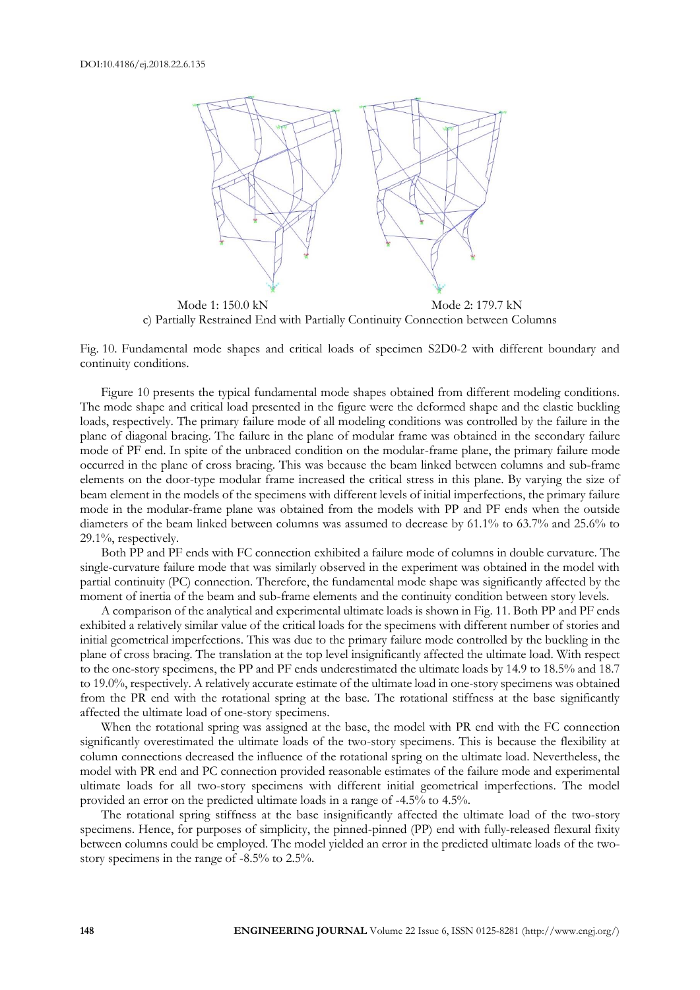

Mode 1: 150.0 kN Mode 2: 179.7 kN c) Partially Restrained End with Partially Continuity Connection between Columns

Fig. 10. Fundamental mode shapes and critical loads of specimen S2D0-2 with different boundary and continuity conditions.

Figure 10 presents the typical fundamental mode shapes obtained from different modeling conditions. The mode shape and critical load presented in the figure were the deformed shape and the elastic buckling loads, respectively. The primary failure mode of all modeling conditions was controlled by the failure in the plane of diagonal bracing. The failure in the plane of modular frame was obtained in the secondary failure mode of PF end. In spite of the unbraced condition on the modular-frame plane, the primary failure mode occurred in the plane of cross bracing. This was because the beam linked between columns and sub-frame elements on the door-type modular frame increased the critical stress in this plane. By varying the size of beam element in the models of the specimens with different levels of initial imperfections, the primary failure mode in the modular-frame plane was obtained from the models with PP and PF ends when the outside diameters of the beam linked between columns was assumed to decrease by 61.1% to 63.7% and 25.6% to 29.1%, respectively.

Both PP and PF ends with FC connection exhibited a failure mode of columns in double curvature. The single-curvature failure mode that was similarly observed in the experiment was obtained in the model with partial continuity (PC) connection. Therefore, the fundamental mode shape was significantly affected by the moment of inertia of the beam and sub-frame elements and the continuity condition between story levels.

A comparison of the analytical and experimental ultimate loads is shown in Fig. 11. Both PP and PF ends exhibited a relatively similar value of the critical loads for the specimens with different number of stories and initial geometrical imperfections. This was due to the primary failure mode controlled by the buckling in the plane of cross bracing. The translation at the top level insignificantly affected the ultimate load. With respect to the one-story specimens, the PP and PF ends underestimated the ultimate loads by 14.9 to 18.5% and 18.7 to 19.0%, respectively. A relatively accurate estimate of the ultimate load in one-story specimens was obtained from the PR end with the rotational spring at the base. The rotational stiffness at the base significantly affected the ultimate load of one-story specimens.

When the rotational spring was assigned at the base, the model with PR end with the FC connection significantly overestimated the ultimate loads of the two-story specimens. This is because the flexibility at column connections decreased the influence of the rotational spring on the ultimate load. Nevertheless, the model with PR end and PC connection provided reasonable estimates of the failure mode and experimental ultimate loads for all two-story specimens with different initial geometrical imperfections. The model provided an error on the predicted ultimate loads in a range of -4.5% to 4.5%.

The rotational spring stiffness at the base insignificantly affected the ultimate load of the two-story specimens. Hence, for purposes of simplicity, the pinned-pinned (PP) end with fully-released flexural fixity between columns could be employed. The model yielded an error in the predicted ultimate loads of the twostory specimens in the range of -8.5% to 2.5%.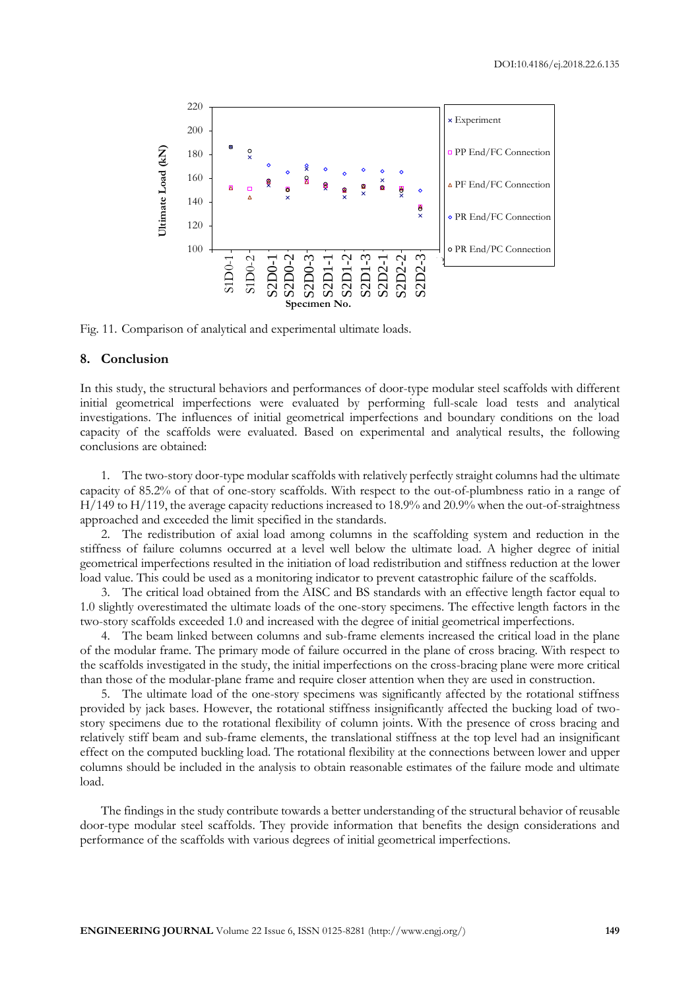

Fig. 11. Comparison of analytical and experimental ultimate loads.

#### **8. Conclusion**

In this study, the structural behaviors and performances of door-type modular steel scaffolds with different initial geometrical imperfections were evaluated by performing full-scale load tests and analytical investigations. The influences of initial geometrical imperfections and boundary conditions on the load capacity of the scaffolds were evaluated. Based on experimental and analytical results, the following conclusions are obtained:

1. The two-story door-type modular scaffolds with relatively perfectly straight columns had the ultimate capacity of 85.2% of that of one-story scaffolds. With respect to the out-of-plumbness ratio in a range of H/149 to H/119, the average capacity reductions increased to 18.9% and 20.9% when the out-of-straightness approached and exceeded the limit specified in the standards.

2. The redistribution of axial load among columns in the scaffolding system and reduction in the stiffness of failure columns occurred at a level well below the ultimate load. A higher degree of initial geometrical imperfections resulted in the initiation of load redistribution and stiffness reduction at the lower load value. This could be used as a monitoring indicator to prevent catastrophic failure of the scaffolds.

3. The critical load obtained from the AISC and BS standards with an effective length factor equal to 1.0 slightly overestimated the ultimate loads of the one-story specimens. The effective length factors in the two-story scaffolds exceeded 1.0 and increased with the degree of initial geometrical imperfections.

4. The beam linked between columns and sub-frame elements increased the critical load in the plane of the modular frame. The primary mode of failure occurred in the plane of cross bracing. With respect to the scaffolds investigated in the study, the initial imperfections on the cross-bracing plane were more critical than those of the modular-plane frame and require closer attention when they are used in construction.

5. The ultimate load of the one-story specimens was significantly affected by the rotational stiffness provided by jack bases. However, the rotational stiffness insignificantly affected the bucking load of twostory specimens due to the rotational flexibility of column joints. With the presence of cross bracing and relatively stiff beam and sub-frame elements, the translational stiffness at the top level had an insignificant effect on the computed buckling load. The rotational flexibility at the connections between lower and upper columns should be included in the analysis to obtain reasonable estimates of the failure mode and ultimate load.

The findings in the study contribute towards a better understanding of the structural behavior of reusable door-type modular steel scaffolds. They provide information that benefits the design considerations and performance of the scaffolds with various degrees of initial geometrical imperfections.